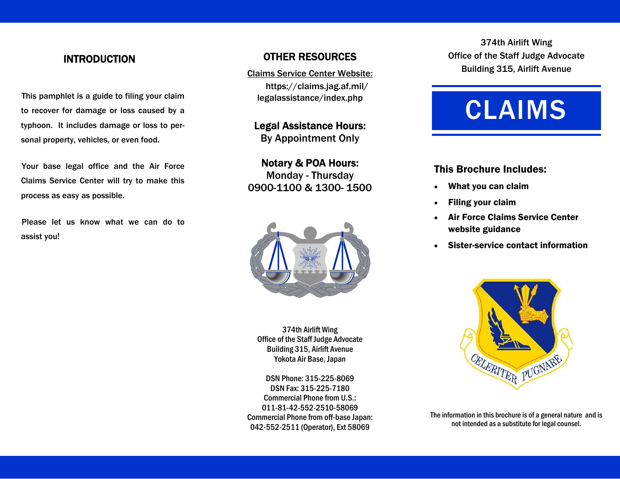# INTRODUCTION

This pamphlet is a guide to filing your claim to recover for damage or loss caused by a typhoon. It includes damage or loss to personal property, vehicles, or even food.

Your base legal office and the Air Force Claims Service Center will try to make this process as easy as possible.

Please let us know what we can do to assist you!

## OTHER RESOURCES

Claims Service Center Website:

 https://claims.jag.af.mil/ legalassistance/index.php

Legal Assistance Hours: By Appointment Only

Notary & POA Hours: Monday - Thursday 0900-1100 & 1300- 1500



374th Airlift Wing Office of the Staff Judge Advocate Building 315, Airlift Avenue Yokota Air Base, Japan

DSN Phone: 315-225-8069 DSN Fax: 315-225-7180 Commercial Phone from U.S.: 011-81-42-552-2510-58069 Commercial Phone from off-base Japan: 042-552-2511 (Operator), Ext 58069

374th Airlift Wing Office of the Staff Judge Advocate Building 315, Airlift Avenue



# This Brochure Includes:

- $\bullet$ What you can claim
- . Filing your claim
- $\bullet$  Air Force Claims Service Center website guidance
- $\bullet$ Sister-service contact information



The information in this brochure is of a general nature and is not intended as a substitute for legal counsel.